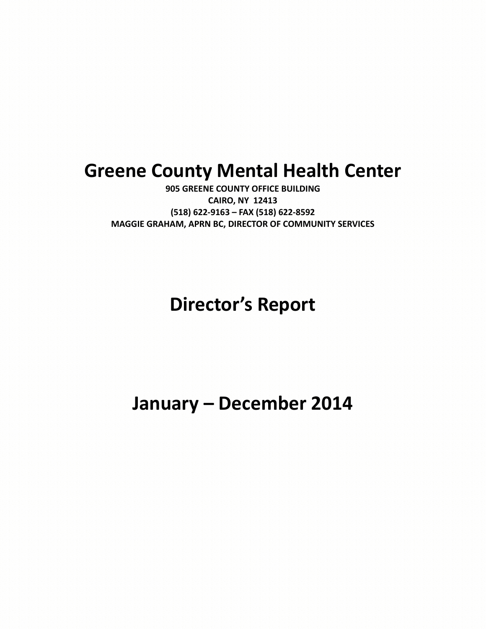# **Greene County Mental Health Center**

**905 GREENE COUNTY OFFICE BUILDING CAIRO, NY 12413 (518) 622-9163 – FAX (518) 622-8592 MAGGIE GRAHAM, APRN BC, DIRECTOR OF COMMUNITY SERVICES**

# **Director's Report**

# **January – December 2014**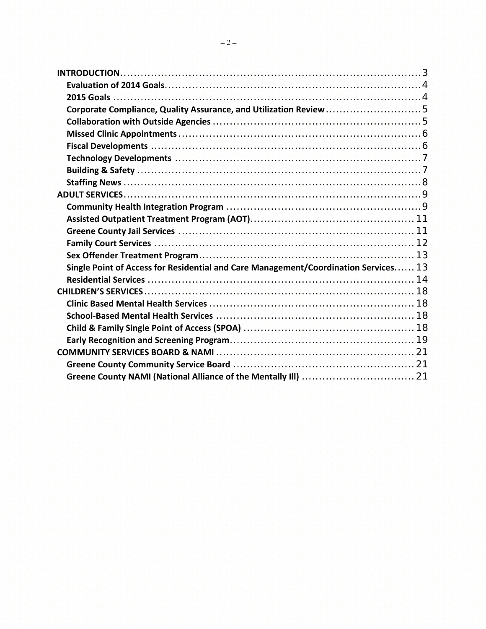| Corporate Compliance, Quality Assurance, and Utilization Review 5                   |  |
|-------------------------------------------------------------------------------------|--|
|                                                                                     |  |
|                                                                                     |  |
|                                                                                     |  |
|                                                                                     |  |
|                                                                                     |  |
|                                                                                     |  |
|                                                                                     |  |
|                                                                                     |  |
|                                                                                     |  |
|                                                                                     |  |
|                                                                                     |  |
|                                                                                     |  |
| Single Point of Access for Residential and Care Management/Coordination Services 13 |  |
|                                                                                     |  |
|                                                                                     |  |
|                                                                                     |  |
|                                                                                     |  |
|                                                                                     |  |
|                                                                                     |  |
|                                                                                     |  |
|                                                                                     |  |
|                                                                                     |  |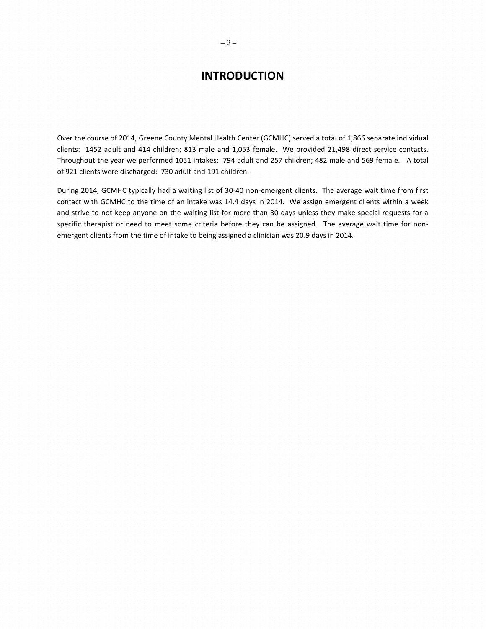# **INTRODUCTION**

<span id="page-2-0"></span>Over the course of 2014, Greene County Mental Health Center (GCMHC) served a total of 1,866 separate individual clients: 1452 adult and 414 children; 813 male and 1,053 female. We provided 21,498 direct service contacts. Throughout the year we performed 1051 intakes: 794 adult and 257 children; 482 male and 569 female. A total of 921 clients were discharged: 730 adult and 191 children.

During 2014, GCMHC typically had a waiting list of 30-40 non-emergent clients. The average wait time from first contact with GCMHC to the time of an intake was 14.4 days in 2014. We assign emergent clients within a week and strive to not keep anyone on the waiting list for more than 30 days unless they make special requests for a specific therapist or need to meet some criteria before they can be assigned. The average wait time for nonemergent clients from the time of intake to being assigned a clinician was 20.9 days in 2014.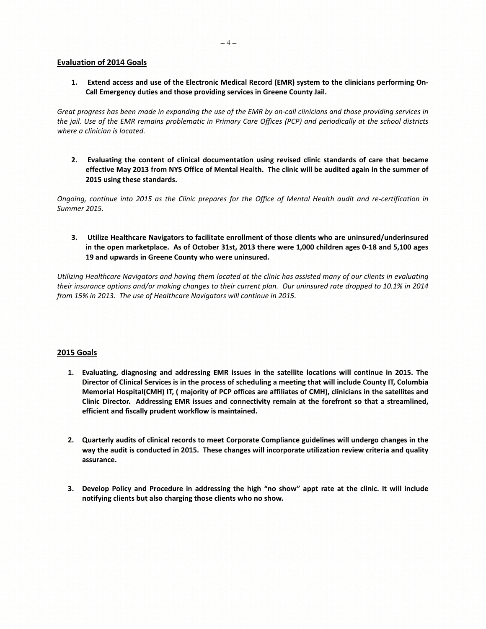## <span id="page-3-0"></span>**Evaluation of 2014 Goals**

**1. Extend access and use of the Electronic Medical Record (EMR) system to the clinicians performing On-Call Emergency duties and those providing services in Greene County Jail.** 

*Great progress has been made in expanding the use of the EMR by on-call clinicians and those providing services in the jail. Use of the EMR remains problematic in Primary Care Offices (PCP) and periodically at the school districts where a clinician is located.* 

**2. Evaluating the content of clinical documentation using revised clinic standards of care that became effective May 2013 from NYS Office of Mental Health. The clinic will be audited again in the summer of 2015 using these standards.**

*Ongoing, continue into 2015 as the Clinic prepares for the Office of Mental Health audit and re-certification in Summer 2015.* 

**3. Utilize Healthcare Navigators to facilitate enrollment of those clients who are uninsured/underinsured in the open marketplace. As of October 31st, 2013 there were 1,000 children ages 0-18 and 5,100 ages 19 and upwards in Greene County who were uninsured.** 

*Utilizing Healthcare Navigators and having them located at the clinic has assisted many of our clients in evaluating their insurance options and/or making changes to their current plan. Our uninsured rate dropped to 10.1% in 2014 from 15% in 2013. The use of Healthcare Navigators will continue in 2015.* 

# <span id="page-3-1"></span>**2015 Goals**

- **1. Evaluating, diagnosing and addressing EMR issues in the satellite locations will continue in 2015. The Director of Clinical Services is in the process of scheduling a meeting that will include County IT, Columbia Memorial Hospital(CMH) IT, ( majority of PCP offices are affiliates of CMH), clinicians in the satellites and Clinic Director. Addressing EMR issues and connectivity remain at the forefront so that a streamlined, efficient and fiscally prudent workflow is maintained.**
- **2. Quarterly audits of clinical records to meet Corporate Compliance guidelines will undergo changes in the way the audit is conducted in 2015. These changes will incorporate utilization review criteria and quality assurance.**
- **3. Develop Policy and Procedure in addressing the high "no show" appt rate at the clinic. It will include notifying clients but also charging those clients who no show.**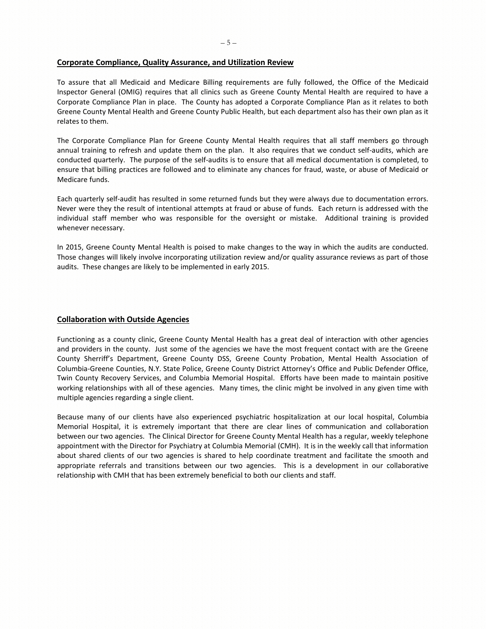### <span id="page-4-0"></span>**Corporate Compliance, Quality Assurance, and Utilization Review**

To assure that all Medicaid and Medicare Billing requirements are fully followed, the Office of the Medicaid Inspector General (OMIG) requires that all clinics such as Greene County Mental Health are required to have a Corporate Compliance Plan in place. The County has adopted a Corporate Compliance Plan as it relates to both Greene County Mental Health and Greene County Public Health, but each department also has their own plan as it relates to them.

The Corporate Compliance Plan for Greene County Mental Health requires that all staff members go through annual training to refresh and update them on the plan. It also requires that we conduct self-audits, which are conducted quarterly. The purpose of the self-audits is to ensure that all medical documentation is completed, to ensure that billing practices are followed and to eliminate any chances for fraud, waste, or abuse of Medicaid or Medicare funds.

Each quarterly self-audit has resulted in some returned funds but they were always due to documentation errors. Never were they the result of intentional attempts at fraud or abuse of funds. Each return is addressed with the individual staff member who was responsible for the oversight or mistake. Additional training is provided whenever necessary.

In 2015, Greene County Mental Health is poised to make changes to the way in which the audits are conducted. Those changes will likely involve incorporating utilization review and/or quality assurance reviews as part of those audits. These changes are likely to be implemented in early 2015.

# <span id="page-4-1"></span>**Collaboration with Outside Agencies**

Functioning as a county clinic, Greene County Mental Health has a great deal of interaction with other agencies and providers in the county. Just some of the agencies we have the most frequent contact with are the Greene County Sherriff's Department, Greene County DSS, Greene County Probation, Mental Health Association of Columbia-Greene Counties, N.Y. State Police, Greene County District Attorney's Office and Public Defender Office, Twin County Recovery Services, and Columbia Memorial Hospital. Efforts have been made to maintain positive working relationships with all of these agencies. Many times, the clinic might be involved in any given time with multiple agencies regarding a single client.

Because many of our clients have also experienced psychiatric hospitalization at our local hospital, Columbia Memorial Hospital, it is extremely important that there are clear lines of communication and collaboration between our two agencies. The Clinical Director for Greene County Mental Health has a regular, weekly telephone appointment with the Director for Psychiatry at Columbia Memorial (CMH). It is in the weekly call that information about shared clients of our two agencies is shared to help coordinate treatment and facilitate the smooth and appropriate referrals and transitions between our two agencies. This is a development in our collaborative relationship with CMH that has been extremely beneficial to both our clients and staff.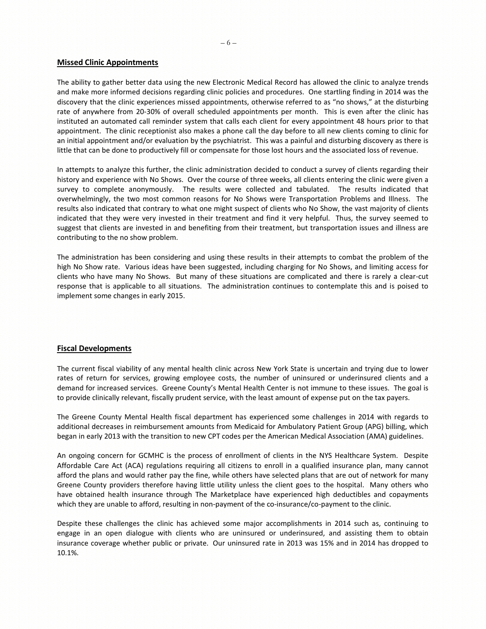#### <span id="page-5-0"></span>**Missed Clinic Appointments**

The ability to gather better data using the new Electronic Medical Record has allowed the clinic to analyze trends and make more informed decisions regarding clinic policies and procedures. One startling finding in 2014 was the discovery that the clinic experiences missed appointments, otherwise referred to as "no shows," at the disturbing rate of anywhere from 20-30% of overall scheduled appointments per month. This is even after the clinic has instituted an automated call reminder system that calls each client for every appointment 48 hours prior to that appointment. The clinic receptionist also makes a phone call the day before to all new clients coming to clinic for an initial appointment and/or evaluation by the psychiatrist. This was a painful and disturbing discovery as there is little that can be done to productively fill or compensate for those lost hours and the associated loss of revenue.

In attempts to analyze this further, the clinic administration decided to conduct a survey of clients regarding their history and experience with No Shows. Over the course of three weeks, all clients entering the clinic were given a survey to complete anonymously. The results were collected and tabulated. The results indicated that overwhelmingly, the two most common reasons for No Shows were Transportation Problems and Illness. The results also indicated that contrary to what one might suspect of clients who No Show, the vast majority of clients indicated that they were very invested in their treatment and find it very helpful. Thus, the survey seemed to suggest that clients are invested in and benefiting from their treatment, but transportation issues and illness are contributing to the no show problem.

The administration has been considering and using these results in their attempts to combat the problem of the high No Show rate. Various ideas have been suggested, including charging for No Shows, and limiting access for clients who have many No Shows. But many of these situations are complicated and there is rarely a clear-cut response that is applicable to all situations. The administration continues to contemplate this and is poised to implement some changes in early 2015.

# <span id="page-5-1"></span>**Fiscal Developments**

The current fiscal viability of any mental health clinic across New York State is uncertain and trying due to lower rates of return for services, growing employee costs, the number of uninsured or underinsured clients and a demand for increased services. Greene County's Mental Health Center is not immune to these issues. The goal is to provide clinically relevant, fiscally prudent service, with the least amount of expense put on the tax payers.

The Greene County Mental Health fiscal department has experienced some challenges in 2014 with regards to additional decreases in reimbursement amounts from Medicaid for Ambulatory Patient Group (APG) billing, which began in early 2013 with the transition to new CPT codes per the American Medical Association (AMA) guidelines.

An ongoing concern for GCMHC is the process of enrollment of clients in the NYS Healthcare System. Despite Affordable Care Act (ACA) regulations requiring all citizens to enroll in a qualified insurance plan, many cannot afford the plans and would rather pay the fine, while others have selected plans that are out of network for many Greene County providers therefore having little utility unless the client goes to the hospital. Many others who have obtained health insurance through The Marketplace have experienced high deductibles and copayments which they are unable to afford, resulting in non-payment of the co-insurance/co-payment to the clinic.

Despite these challenges the clinic has achieved some major accomplishments in 2014 such as, continuing to engage in an open dialogue with clients who are uninsured or underinsured, and assisting them to obtain insurance coverage whether public or private. Our uninsured rate in 2013 was 15% and in 2014 has dropped to 10.1%.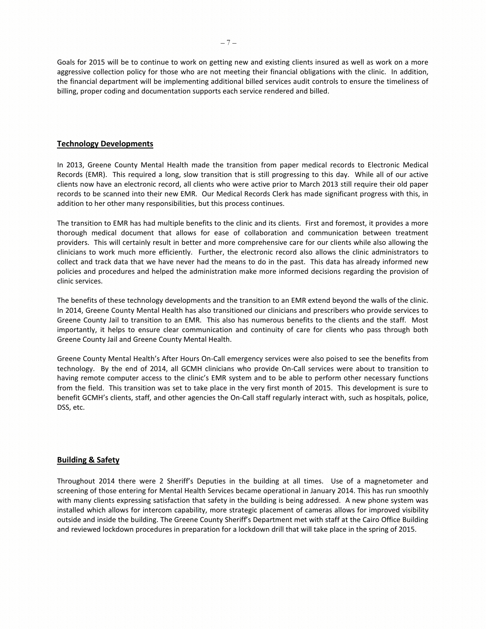Goals for 2015 will be to continue to work on getting new and existing clients insured as well as work on a more aggressive collection policy for those who are not meeting their financial obligations with the clinic. In addition, the financial department will be implementing additional billed services audit controls to ensure the timeliness of billing, proper coding and documentation supports each service rendered and billed.

#### <span id="page-6-0"></span>**Technology Developments**

In 2013, Greene County Mental Health made the transition from paper medical records to Electronic Medical Records (EMR). This required a long, slow transition that is still progressing to this day. While all of our active clients now have an electronic record, all clients who were active prior to March 2013 still require their old paper records to be scanned into their new EMR. Our Medical Records Clerk has made significant progress with this, in addition to her other many responsibilities, but this process continues.

The transition to EMR has had multiple benefits to the clinic and its clients. First and foremost, it provides a more thorough medical document that allows for ease of collaboration and communication between treatment providers. This will certainly result in better and more comprehensive care for our clients while also allowing the clinicians to work much more efficiently. Further, the electronic record also allows the clinic administrators to collect and track data that we have never had the means to do in the past. This data has already informed new policies and procedures and helped the administration make more informed decisions regarding the provision of clinic services.

The benefits of these technology developments and the transition to an EMR extend beyond the walls of the clinic. In 2014, Greene County Mental Health has also transitioned our clinicians and prescribers who provide services to Greene County Jail to transition to an EMR. This also has numerous benefits to the clients and the staff. Most importantly, it helps to ensure clear communication and continuity of care for clients who pass through both Greene County Jail and Greene County Mental Health.

Greene County Mental Health's After Hours On-Call emergency services were also poised to see the benefits from technology. By the end of 2014, all GCMH clinicians who provide On-Call services were about to transition to having remote computer access to the clinic's EMR system and to be able to perform other necessary functions from the field. This transition was set to take place in the very first month of 2015. This development is sure to benefit GCMH's clients, staff, and other agencies the On-Call staff regularly interact with, such as hospitals, police, DSS, etc.

# <span id="page-6-1"></span>**Building & Safety**

Throughout 2014 there were 2 Sheriff's Deputies in the building at all times. Use of a magnetometer and screening of those entering for Mental Health Services became operational in January 2014. This has run smoothly with many clients expressing satisfaction that safety in the building is being addressed. A new phone system was installed which allows for intercom capability, more strategic placement of cameras allows for improved visibility outside and inside the building. The Greene County Sheriff's Department met with staff at the Cairo Office Building and reviewed lockdown procedures in preparation for a lockdown drill that will take place in the spring of 2015.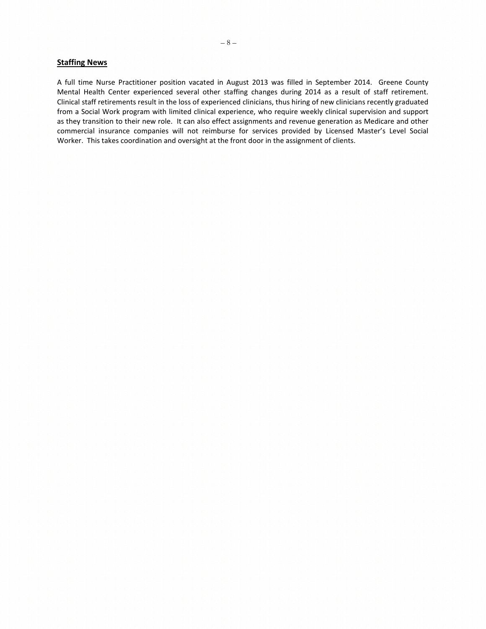## <span id="page-7-0"></span>**Staffing News**

A full time Nurse Practitioner position vacated in August 2013 was filled in September 2014. Greene County Mental Health Center experienced several other staffing changes during 2014 as a result of staff retirement. Clinical staff retirements result in the loss of experienced clinicians, thus hiring of new clinicians recently graduated from a Social Work program with limited clinical experience, who require weekly clinical supervision and support as they transition to their new role. It can also effect assignments and revenue generation as Medicare and other commercial insurance companies will not reimburse for services provided by Licensed Master's Level Social Worker. This takes coordination and oversight at the front door in the assignment of clients.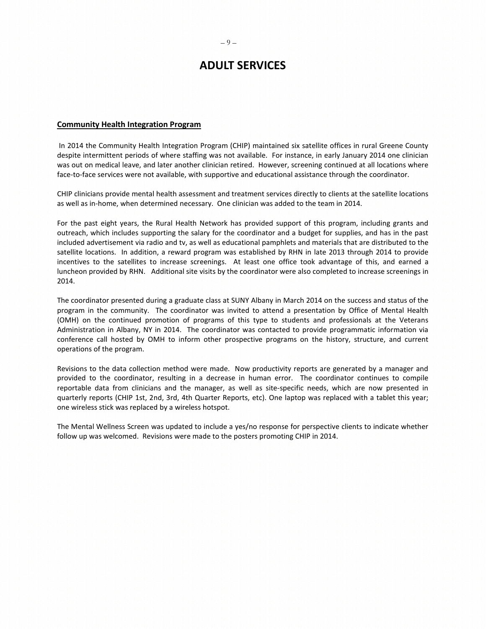# **ADULT SERVICES**

## <span id="page-8-1"></span><span id="page-8-0"></span>**Community Health Integration Program**

In 2014 the Community Health Integration Program (CHIP) maintained six satellite offices in rural Greene County despite intermittent periods of where staffing was not available. For instance, in early January 2014 one clinician was out on medical leave, and later another clinician retired. However, screening continued at all locations where face-to-face services were not available, with supportive and educational assistance through the coordinator.

CHIP clinicians provide mental health assessment and treatment services directly to clients at the satellite locations as well as in-home, when determined necessary. One clinician was added to the team in 2014.

For the past eight years, the Rural Health Network has provided support of this program, including grants and outreach, which includes supporting the salary for the coordinator and a budget for supplies, and has in the past included advertisement via radio and tv, as well as educational pamphlets and materials that are distributed to the satellite locations. In addition, a reward program was established by RHN in late 2013 through 2014 to provide incentives to the satellites to increase screenings. At least one office took advantage of this, and earned a luncheon provided by RHN. Additional site visits by the coordinator were also completed to increase screenings in 2014.

The coordinator presented during a graduate class at SUNY Albany in March 2014 on the success and status of the program in the community. The coordinator was invited to attend a presentation by Office of Mental Health (OMH) on the continued promotion of programs of this type to students and professionals at the Veterans Administration in Albany, NY in 2014. The coordinator was contacted to provide programmatic information via conference call hosted by OMH to inform other prospective programs on the history, structure, and current operations of the program.

Revisions to the data collection method were made. Now productivity reports are generated by a manager and provided to the coordinator, resulting in a decrease in human error. The coordinator continues to compile reportable data from clinicians and the manager, as well as site-specific needs, which are now presented in quarterly reports (CHIP 1st, 2nd, 3rd, 4th Quarter Reports, etc). One laptop was replaced with a tablet this year; one wireless stick was replaced by a wireless hotspot.

The Mental Wellness Screen was updated to include a yes/no response for perspective clients to indicate whether follow up was welcomed. Revisions were made to the posters promoting CHIP in 2014.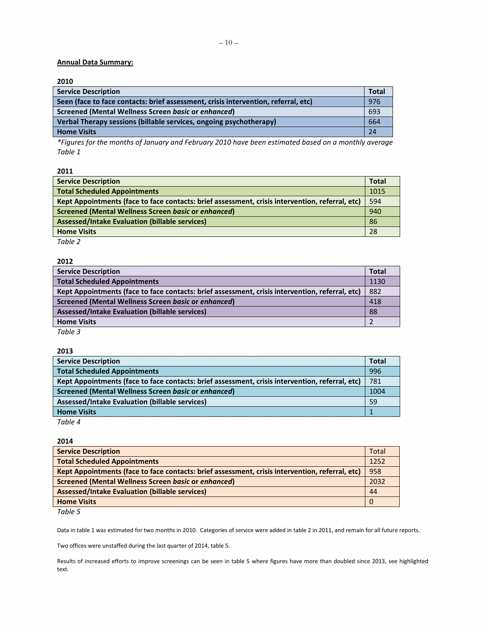# **Annual Data Summary:**

# **2010**

| <b>Service Description</b>                                                         | <b>Total</b> |
|------------------------------------------------------------------------------------|--------------|
| Seen (face to face contacts: brief assessment, crisis intervention, referral, etc) | 976          |
| Screened (Mental Wellness Screen basic or enhanced)                                | 693          |
| Verbal Therapy sessions (billable services, ongoing psychotherapy)                 | 664          |
| <b>Home Visits</b>                                                                 | 24           |

*\*Figures for the months of January and February 2010 have been estimated based on a monthly average Table 1*

**2011**

| <b>Service Description</b>                                                                      | <b>Total</b> |
|-------------------------------------------------------------------------------------------------|--------------|
| <b>Total Scheduled Appointments</b>                                                             | 1015         |
| Kept Appointments (face to face contacts: brief assessment, crisis intervention, referral, etc) | 594          |
| Screened (Mental Wellness Screen basic or enhanced)                                             | 940          |
| <b>Assessed/Intake Evaluation (billable services)</b>                                           | 86           |
| <b>Home Visits</b>                                                                              | 28           |
| $-11 - 2$                                                                                       |              |

*Table 2*

### **2012**

| <b>Service Description</b>                                                                      | Total |
|-------------------------------------------------------------------------------------------------|-------|
| <b>Total Scheduled Appointments</b>                                                             | 1130  |
| Kept Appointments (face to face contacts: brief assessment, crisis intervention, referral, etc) | 882   |
| Screened (Mental Wellness Screen basic or enhanced)                                             | 418   |
| Assessed/Intake Evaluation (billable services)                                                  | 88    |
| <b>Home Visits</b>                                                                              |       |
| Table 3<br>2008년 - 12008년 12008년                                                                |       |

| 2013                                                                                            |       |
|-------------------------------------------------------------------------------------------------|-------|
| <b>Service Description</b>                                                                      | Total |
| <b>Total Scheduled Appointments</b>                                                             | 996   |
| Kept Appointments (face to face contacts: brief assessment, crisis intervention, referral, etc) | 781   |
| Screened (Mental Wellness Screen basic or enhanced)                                             | 1004  |
| Assessed/Intake Evaluation (billable services)                                                  | 59    |
| <b>Home Visits</b>                                                                              |       |
|                                                                                                 |       |

*Table 4*

# **2014**

| <b>Service Description</b>                                                                      | <b>Total</b> |
|-------------------------------------------------------------------------------------------------|--------------|
| <b>Total Scheduled Appointments</b>                                                             | 1252         |
| Kept Appointments (face to face contacts: brief assessment, crisis intervention, referral, etc) | 958          |
| Screened (Mental Wellness Screen basic or enhanced)                                             | 2032         |
| <b>Assessed/Intake Evaluation (billable services)</b>                                           | 44           |
| <b>Home Visits</b>                                                                              |              |

*Table 5*

Data in table 1 was estimated for two months in 2010. Categories of service were added in table 2 in 2011, and remain for all future reports.

Two offices were unstaffed during the last quarter of 2014, table 5.

Results of increased efforts to improve screenings can be seen in table 5 where figures have more than doubled since 2013, see highlighted text.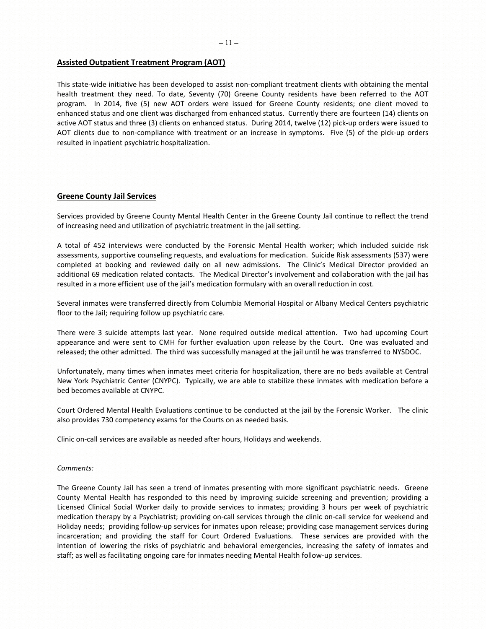# <span id="page-10-0"></span>**Assisted Outpatient Treatment Program (AOT)**

This state-wide initiative has been developed to assist non-compliant treatment clients with obtaining the mental health treatment they need. To date, Seventy (70) Greene County residents have been referred to the AOT program. In 2014, five (5) new AOT orders were issued for Greene County residents; one client moved to enhanced status and one client was discharged from enhanced status. Currently there are fourteen (14) clients on active AOT status and three (3) clients on enhanced status. During 2014, twelve (12) pick-up orders were issued to AOT clients due to non-compliance with treatment or an increase in symptoms. Five (5) of the pick-up orders resulted in inpatient psychiatric hospitalization.

# <span id="page-10-1"></span>**Greene County Jail Services**

Services provided by Greene County Mental Health Center in the Greene County Jail continue to reflect the trend of increasing need and utilization of psychiatric treatment in the jail setting.

A total of 452 interviews were conducted by the Forensic Mental Health worker; which included suicide risk assessments, supportive counseling requests, and evaluations for medication. Suicide Risk assessments (537) were completed at booking and reviewed daily on all new admissions. The Clinic's Medical Director provided an additional 69 medication related contacts. The Medical Director's involvement and collaboration with the jail has resulted in a more efficient use of the jail's medication formulary with an overall reduction in cost.

Several inmates were transferred directly from Columbia Memorial Hospital or Albany Medical Centers psychiatric floor to the Jail; requiring follow up psychiatric care.

There were 3 suicide attempts last year. None required outside medical attention. Two had upcoming Court appearance and were sent to CMH for further evaluation upon release by the Court. One was evaluated and released; the other admitted. The third was successfully managed at the jail until he was transferred to NYSDOC.

Unfortunately, many times when inmates meet criteria for hospitalization, there are no beds available at Central New York Psychiatric Center (CNYPC). Typically, we are able to stabilize these inmates with medication before a bed becomes available at CNYPC.

Court Ordered Mental Health Evaluations continue to be conducted at the jail by the Forensic Worker. The clinic also provides 730 competency exams for the Courts on as needed basis.

Clinic on-call services are available as needed after hours, Holidays and weekends.

#### *Comments:*

The Greene County Jail has seen a trend of inmates presenting with more significant psychiatric needs. Greene County Mental Health has responded to this need by improving suicide screening and prevention; providing a Licensed Clinical Social Worker daily to provide services to inmates; providing 3 hours per week of psychiatric medication therapy by a Psychiatrist; providing on-call services through the clinic on-call service for weekend and Holiday needs; providing follow-up services for inmates upon release; providing case management services during incarceration; and providing the staff for Court Ordered Evaluations. These services are provided with the intention of lowering the risks of psychiatric and behavioral emergencies, increasing the safety of inmates and staff; as well as facilitating ongoing care for inmates needing Mental Health follow-up services.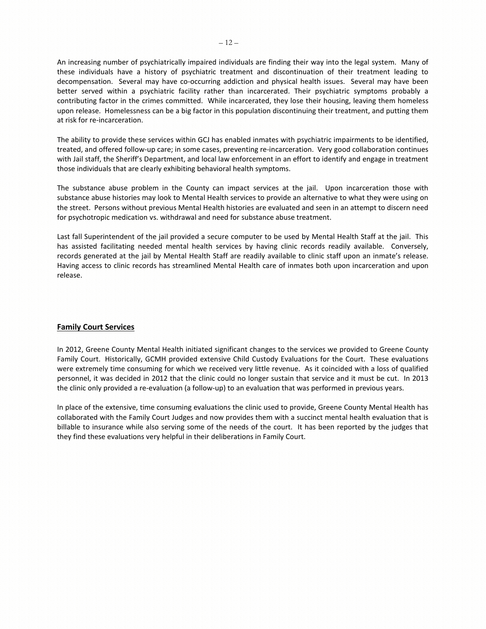An increasing number of psychiatrically impaired individuals are finding their way into the legal system. Many of these individuals have a history of psychiatric treatment and discontinuation of their treatment leading to decompensation. Several may have co-occurring addiction and physical health issues. Several may have been better served within a psychiatric facility rather than incarcerated. Their psychiatric symptoms probably a contributing factor in the crimes committed. While incarcerated, they lose their housing, leaving them homeless upon release. Homelessness can be a big factor in this population discontinuing their treatment, and putting them at risk for re-incarceration.

The ability to provide these services within GCJ has enabled inmates with psychiatric impairments to be identified, treated, and offered follow-up care; in some cases, preventing re-incarceration. Very good collaboration continues with Jail staff, the Sheriff's Department, and local law enforcement in an effort to identify and engage in treatment those individuals that are clearly exhibiting behavioral health symptoms.

The substance abuse problem in the County can impact services at the jail. Upon incarceration those with substance abuse histories may look to Mental Health services to provide an alternative to what they were using on the street. Persons without previous Mental Health histories are evaluated and seen in an attempt to discern need for psychotropic medication vs. withdrawal and need for substance abuse treatment.

Last fall Superintendent of the jail provided a secure computer to be used by Mental Health Staff at the jail. This has assisted facilitating needed mental health services by having clinic records readily available. Conversely, records generated at the jail by Mental Health Staff are readily available to clinic staff upon an inmate's release. Having access to clinic records has streamlined Mental Health care of inmates both upon incarceration and upon release.

# <span id="page-11-0"></span>**Family Court Services**

In 2012, Greene County Mental Health initiated significant changes to the services we provided to Greene County Family Court. Historically, GCMH provided extensive Child Custody Evaluations for the Court. These evaluations were extremely time consuming for which we received very little revenue. As it coincided with a loss of qualified personnel, it was decided in 2012 that the clinic could no longer sustain that service and it must be cut. In 2013 the clinic only provided a re-evaluation (a follow-up) to an evaluation that was performed in previous years.

In place of the extensive, time consuming evaluations the clinic used to provide, Greene County Mental Health has collaborated with the Family Court Judges and now provides them with a succinct mental health evaluation that is billable to insurance while also serving some of the needs of the court. It has been reported by the judges that they find these evaluations very helpful in their deliberations in Family Court.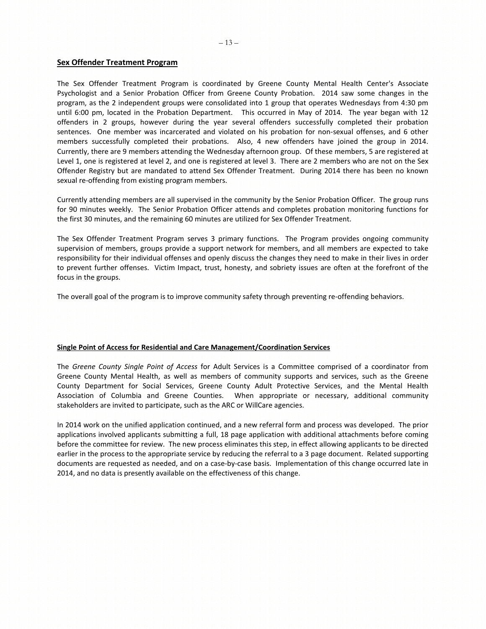#### <span id="page-12-0"></span>**Sex Offender Treatment Program**

The Sex Offender Treatment Program is coordinated by Greene County Mental Health Center's Associate Psychologist and a Senior Probation Officer from Greene County Probation. 2014 saw some changes in the program, as the 2 independent groups were consolidated into 1 group that operates Wednesdays from 4:30 pm until 6:00 pm, located in the Probation Department. This occurred in May of 2014. The year began with 12 offenders in 2 groups, however during the year several offenders successfully completed their probation sentences. One member was incarcerated and violated on his probation for non-sexual offenses, and 6 other members successfully completed their probations. Also, 4 new offenders have joined the group in 2014. Currently, there are 9 members attending the Wednesday afternoon group. Of these members, 5 are registered at Level 1, one is registered at level 2, and one is registered at level 3. There are 2 members who are not on the Sex Offender Registry but are mandated to attend Sex Offender Treatment. During 2014 there has been no known sexual re-offending from existing program members.

Currently attending members are all supervised in the community by the Senior Probation Officer. The group runs for 90 minutes weekly. The Senior Probation Officer attends and completes probation monitoring functions for the first 30 minutes, and the remaining 60 minutes are utilized for Sex Offender Treatment.

The Sex Offender Treatment Program serves 3 primary functions. The Program provides ongoing community supervision of members, groups provide a support network for members, and all members are expected to take responsibility for their individual offenses and openly discuss the changes they need to make in their lives in order to prevent further offenses. Victim Impact, trust, honesty, and sobriety issues are often at the forefront of the focus in the groups.

The overall goal of the program is to improve community safety through preventing re-offending behaviors.

#### <span id="page-12-1"></span>**Single Point of Access for Residential and Care Management/Coordination Services**

The *Greene County Single Point of Access* for Adult Services is a Committee comprised of a coordinator from Greene County Mental Health, as well as members of community supports and services, such as the Greene County Department for Social Services, Greene County Adult Protective Services, and the Mental Health Association of Columbia and Greene Counties. When appropriate or necessary, additional community stakeholders are invited to participate, such as the ARC or WillCare agencies.

In 2014 work on the unified application continued, and a new referral form and process was developed. The prior applications involved applicants submitting a full, 18 page application with additional attachments before coming before the committee for review. The new process eliminates this step, in effect allowing applicants to be directed earlier in the process to the appropriate service by reducing the referral to a 3 page document. Related supporting documents are requested as needed, and on a case-by-case basis. Implementation of this change occurred late in 2014, and no data is presently available on the effectiveness of this change.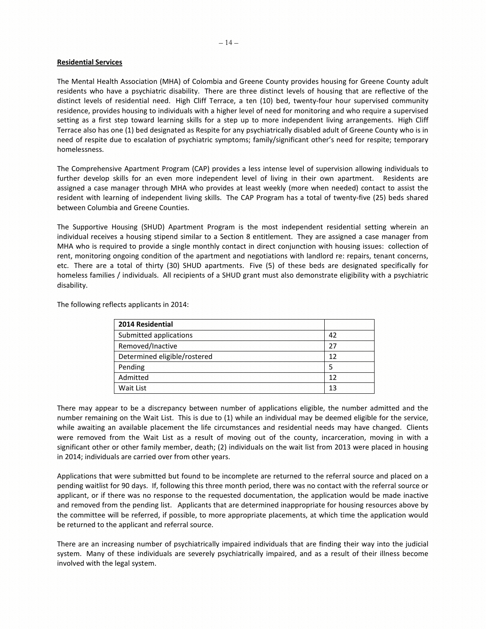#### <span id="page-13-0"></span>**Residential Services**

The Mental Health Association (MHA) of Colombia and Greene County provides housing for Greene County adult residents who have a psychiatric disability. There are three distinct levels of housing that are reflective of the distinct levels of residential need. High Cliff Terrace, a ten (10) bed, twenty-four hour supervised community residence, provides housing to individuals with a higher level of need for monitoring and who require a supervised setting as a first step toward learning skills for a step up to more independent living arrangements. High Cliff Terrace also has one (1) bed designated as Respite for any psychiatrically disabled adult of Greene County who is in need of respite due to escalation of psychiatric symptoms; family/significant other's need for respite; temporary homelessness.

The Comprehensive Apartment Program (CAP) provides a less intense level of supervision allowing individuals to further develop skills for an even more independent level of living in their own apartment. Residents are assigned a case manager through MHA who provides at least weekly (more when needed) contact to assist the resident with learning of independent living skills. The CAP Program has a total of twenty-five (25) beds shared between Columbia and Greene Counties.

The Supportive Housing (SHUD) Apartment Program is the most independent residential setting wherein an individual receives a housing stipend similar to a Section 8 entitlement. They are assigned a case manager from MHA who is required to provide a single monthly contact in direct conjunction with housing issues: collection of rent, monitoring ongoing condition of the apartment and negotiations with landlord re: repairs, tenant concerns, etc. There are a total of thirty (30) SHUD apartments. Five (5) of these beds are designated specifically for homeless families / individuals. All recipients of a SHUD grant must also demonstrate eligibility with a psychiatric disability.

The following reflects applicants in 2014:

| 2014 Residential             |    |
|------------------------------|----|
| Submitted applications       | 42 |
| Removed/Inactive             | 27 |
| Determined eligible/rostered | 12 |
| Pending                      |    |
| Admitted                     | 12 |
| Wait List                    | 13 |

There may appear to be a discrepancy between number of applications eligible, the number admitted and the number remaining on the Wait List. This is due to (1) while an individual may be deemed eligible for the service, while awaiting an available placement the life circumstances and residential needs may have changed. Clients were removed from the Wait List as a result of moving out of the county, incarceration, moving in with a significant other or other family member, death; (2) individuals on the wait list from 2013 were placed in housing in 2014; individuals are carried over from other years.

Applications that were submitted but found to be incomplete are returned to the referral source and placed on a pending waitlist for 90 days. If, following this three month period, there was no contact with the referral source or applicant, or if there was no response to the requested documentation, the application would be made inactive and removed from the pending list. Applicants that are determined inappropriate for housing resources above by the committee will be referred, if possible, to more appropriate placements, at which time the application would be returned to the applicant and referral source.

There are an increasing number of psychiatrically impaired individuals that are finding their way into the judicial system. Many of these individuals are severely psychiatrically impaired, and as a result of their illness become involved with the legal system.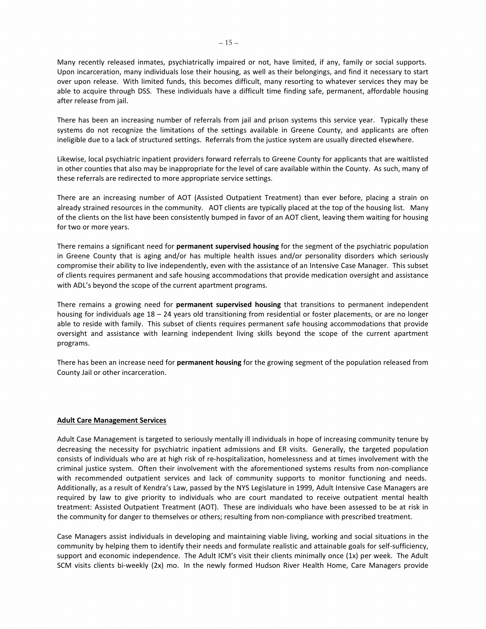Many recently released inmates, psychiatrically impaired or not, have limited, if any, family or social supports. Upon incarceration, many individuals lose their housing, as well as their belongings, and find it necessary to start over upon release. With limited funds, this becomes difficult, many resorting to whatever services they may be able to acquire through DSS. These individuals have a difficult time finding safe, permanent, affordable housing after release from jail.

There has been an increasing number of referrals from jail and prison systems this service year. Typically these systems do not recognize the limitations of the settings available in Greene County, and applicants are often ineligible due to a lack of structured settings. Referrals from the justice system are usually directed elsewhere.

Likewise, local psychiatric inpatient providers forward referrals to Greene County for applicants that are waitlisted in other counties that also may be inappropriate for the level of care available within the County. As such, many of these referrals are redirected to more appropriate service settings.

There are an increasing number of AOT (Assisted Outpatient Treatment) than ever before, placing a strain on already strained resources in the community. AOT clients are typically placed at the top of the housing list. Many of the clients on the list have been consistently bumped in favor of an AOT client, leaving them waiting for housing for two or more years.

There remains a significant need for **permanent supervised housing** for the segment of the psychiatric population in Greene County that is aging and/or has multiple health issues and/or personality disorders which seriously compromise their ability to live independently, even with the assistance of an Intensive Case Manager. This subset of clients requires permanent and safe housing accommodations that provide medication oversight and assistance with ADL's beyond the scope of the current apartment programs.

There remains a growing need for **permanent supervised housing** that transitions to permanent independent housing for individuals age 18 – 24 years old transitioning from residential or foster placements, or are no longer able to reside with family. This subset of clients requires permanent safe housing accommodations that provide oversight and assistance with learning independent living skills beyond the scope of the current apartment programs.

There has been an increase need for **permanent housing** for the growing segment of the population released from County Jail or other incarceration.

#### **Adult Care Management Services**

Adult Case Management is targeted to seriously mentally ill individuals in hope of increasing community tenure by decreasing the necessity for psychiatric inpatient admissions and ER visits. Generally, the targeted population consists of individuals who are at high risk of re-hospitalization, homelessness and at times involvement with the criminal justice system. Often their involvement with the aforementioned systems results from non-compliance with recommended outpatient services and lack of community supports to monitor functioning and needs. Additionally, as a result of Kendra's Law, passed by the NYS Legislature in 1999, Adult Intensive Case Managers are required by law to give priority to individuals who are court mandated to receive outpatient mental health treatment: Assisted Outpatient Treatment (AOT). These are individuals who have been assessed to be at risk in the community for danger to themselves or others; resulting from non-compliance with prescribed treatment.

Case Managers assist individuals in developing and maintaining viable living, working and social situations in the community by helping them to identify their needs and formulate realistic and attainable goals for self-sufficiency, support and economic independence. The Adult ICM's visit their clients minimally once (1x) per week. The Adult SCM visits clients bi-weekly (2x) mo. In the newly formed Hudson River Health Home, Care Managers provide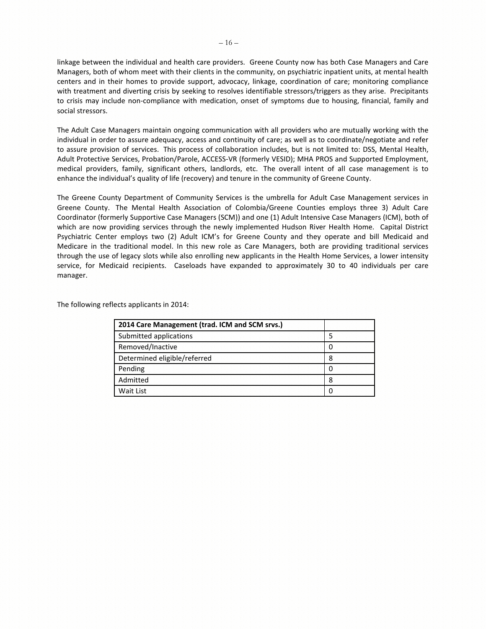linkage between the individual and health care providers. Greene County now has both Case Managers and Care Managers, both of whom meet with their clients in the community, on psychiatric inpatient units, at mental health centers and in their homes to provide support, advocacy, linkage, coordination of care; monitoring compliance with treatment and diverting crisis by seeking to resolves identifiable stressors/triggers as they arise. Precipitants to crisis may include non-compliance with medication, onset of symptoms due to housing, financial, family and social stressors.

The Adult Case Managers maintain ongoing communication with all providers who are mutually working with the individual in order to assure adequacy, access and continuity of care; as well as to coordinate/negotiate and refer to assure provision of services. This process of collaboration includes, but is not limited to: DSS, Mental Health, Adult Protective Services, Probation/Parole, ACCESS-VR (formerly VESID); MHA PROS and Supported Employment, medical providers, family, significant others, landlords, etc. The overall intent of all case management is to enhance the individual's quality of life (recovery) and tenure in the community of Greene County.

The Greene County Department of Community Services is the umbrella for Adult Case Management services in Greene County. The Mental Health Association of Colombia/Greene Counties employs three 3) Adult Care Coordinator (formerly Supportive Case Managers (SCM)) and one (1) Adult Intensive Case Managers (ICM), both of which are now providing services through the newly implemented Hudson River Health Home. Capital District Psychiatric Center employs two (2) Adult ICM's for Greene County and they operate and bill Medicaid and Medicare in the traditional model. In this new role as Care Managers, both are providing traditional services through the use of legacy slots while also enrolling new applicants in the Health Home Services, a lower intensity service, for Medicaid recipients. Caseloads have expanded to approximately 30 to 40 individuals per care manager.

The following reflects applicants in 2014:

| 2014 Care Management (trad. ICM and SCM srvs.) |   |
|------------------------------------------------|---|
| Submitted applications                         |   |
| Removed/Inactive                               |   |
| Determined eligible/referred                   | 8 |
| Pending                                        |   |
| Admitted                                       | 8 |
| Wait List                                      |   |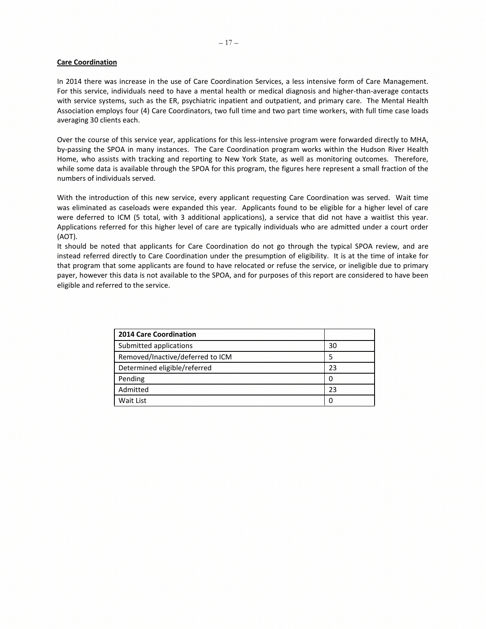#### **Care Coordination**

In 2014 there was increase in the use of Care Coordination Services, a less intensive form of Care Management. For this service, individuals need to have a mental health or medical diagnosis and higher-than-average contacts with service systems, such as the ER, psychiatric inpatient and outpatient, and primary care. The Mental Health Association employs four (4) Care Coordinators, two full time and two part time workers, with full time case loads averaging 30 clients each.

Over the course of this service year, applications for this less-intensive program were forwarded directly to MHA, by-passing the SPOA in many instances. The Care Coordination program works within the Hudson River Health Home, who assists with tracking and reporting to New York State, as well as monitoring outcomes. Therefore, while some data is available through the SPOA for this program, the figures here represent a small fraction of the numbers of individuals served.

With the introduction of this new service, every applicant requesting Care Coordination was served. Wait time was eliminated as caseloads were expanded this year. Applicants found to be eligible for a higher level of care were deferred to ICM (5 total, with 3 additional applications), a service that did not have a waitlist this year. Applications referred for this higher level of care are typically individuals who are admitted under a court order (AOT).

It should be noted that applicants for Care Coordination do not go through the typical SPOA review, and are instead referred directly to Care Coordination under the presumption of eligibility. It is at the time of intake for that program that some applicants are found to have relocated or refuse the service, or ineligible due to primary payer, however this data is not available to the SPOA, and for purposes of this report are considered to have been eligible and referred to the service.

| <b>2014 Care Coordination</b>    |    |
|----------------------------------|----|
| Submitted applications           | 30 |
| Removed/Inactive/deferred to ICM | .5 |
| Determined eligible/referred     | 23 |
| Pending                          | O  |
| Admitted                         | つっ |
| Wait List                        | O  |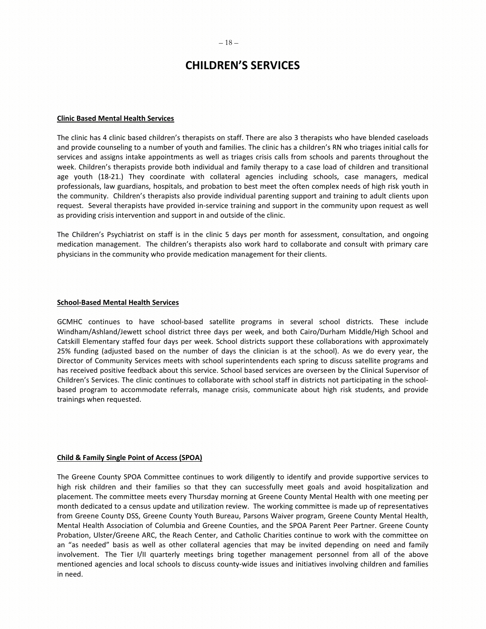#### $-18-$

# **CHILDREN'S SERVICES**

#### <span id="page-17-1"></span><span id="page-17-0"></span>**Clinic Based Mental Health Services**

The clinic has 4 clinic based children's therapists on staff. There are also 3 therapists who have blended caseloads and provide counseling to a number of youth and families. The clinic has a children's RN who triages initial calls for services and assigns intake appointments as well as triages crisis calls from schools and parents throughout the week. Children's therapists provide both individual and family therapy to a case load of children and transitional age youth (18-21.) They coordinate with collateral agencies including schools, case managers, medical professionals, law guardians, hospitals, and probation to best meet the often complex needs of high risk youth in the community. Children's therapists also provide individual parenting support and training to adult clients upon request. Several therapists have provided in-service training and support in the community upon request as well as providing crisis intervention and support in and outside of the clinic.

The Children's Psychiatrist on staff is in the clinic 5 days per month for assessment, consultation, and ongoing medication management. The children's therapists also work hard to collaborate and consult with primary care physicians in the community who provide medication management for their clients.

#### <span id="page-17-2"></span>**School-Based Mental Health Services**

GCMHC continues to have school-based satellite programs in several school districts. These include Windham/Ashland/Jewett school district three days per week, and both Cairo/Durham Middle/High School and Catskill Elementary staffed four days per week. School districts support these collaborations with approximately 25% funding (adjusted based on the number of days the clinician is at the school). As we do every year, the Director of Community Services meets with school superintendents each spring to discuss satellite programs and has received positive feedback about this service. School based services are overseen by the Clinical Supervisor of Children's Services. The clinic continues to collaborate with school staff in districts not participating in the schoolbased program to accommodate referrals, manage crisis, communicate about high risk students, and provide trainings when requested.

## <span id="page-17-3"></span>**Child & Family Single Point of Access (SPOA)**

The Greene County SPOA Committee continues to work diligently to identify and provide supportive services to high risk children and their families so that they can successfully meet goals and avoid hospitalization and placement. The committee meets every Thursday morning at Greene County Mental Health with one meeting per month dedicated to a census update and utilization review. The working committee is made up of representatives from Greene County DSS, Greene County Youth Bureau, Parsons Waiver program, Greene County Mental Health, Mental Health Association of Columbia and Greene Counties, and the SPOA Parent Peer Partner. Greene County Probation, Ulster/Greene ARC, the Reach Center, and Catholic Charities continue to work with the committee on an "as needed" basis as well as other collateral agencies that may be invited depending on need and family involvement. The Tier I/II quarterly meetings bring together management personnel from all of the above mentioned agencies and local schools to discuss county-wide issues and initiatives involving children and families in need.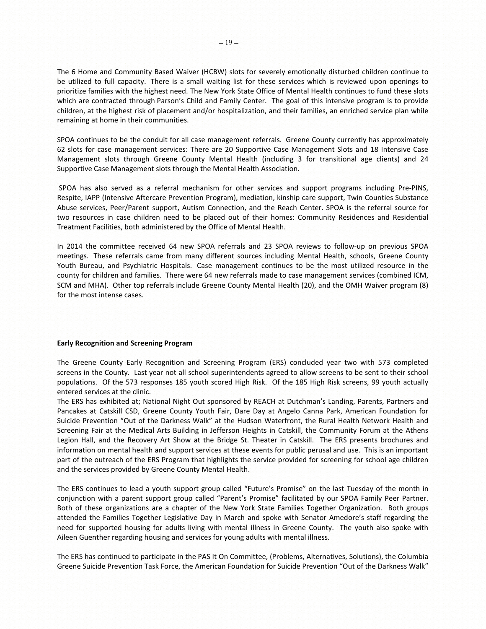The 6 Home and Community Based Waiver (HCBW) slots for severely emotionally disturbed children continue to be utilized to full capacity. There is a small waiting list for these services which is reviewed upon openings to prioritize families with the highest need. The New York State Office of Mental Health continues to fund these slots which are contracted through Parson's Child and Family Center. The goal of this intensive program is to provide children, at the highest risk of placement and/or hospitalization, and their families, an enriched service plan while remaining at home in their communities.

SPOA continues to be the conduit for all case management referrals. Greene County currently has approximately 62 slots for case management services: There are 20 Supportive Case Management Slots and 18 Intensive Case Management slots through Greene County Mental Health (including 3 for transitional age clients) and 24 Supportive Case Management slots through the Mental Health Association.

SPOA has also served as a referral mechanism for other services and support programs including Pre-PINS, Respite, IAPP (Intensive Aftercare Prevention Program), mediation, kinship care support, Twin Counties Substance Abuse services, Peer/Parent support, Autism Connection, and the Reach Center. SPOA is the referral source for two resources in case children need to be placed out of their homes: Community Residences and Residential Treatment Facilities, both administered by the Office of Mental Health.

In 2014 the committee received 64 new SPOA referrals and 23 SPOA reviews to follow-up on previous SPOA meetings. These referrals came from many different sources including Mental Health, schools, Greene County Youth Bureau, and Psychiatric Hospitals. Case management continues to be the most utilized resource in the county for children and families. There were 64 new referrals made to case management services (combined ICM, SCM and MHA). Other top referrals include Greene County Mental Health (20), and the OMH Waiver program (8) for the most intense cases.

#### <span id="page-18-0"></span>**Early Recognition and Screening Program**

The Greene County Early Recognition and Screening Program (ERS) concluded year two with 573 completed screens in the County. Last year not all school superintendents agreed to allow screens to be sent to their school populations. Of the 573 responses 185 youth scored High Risk. Of the 185 High Risk screens, 99 youth actually entered services at the clinic.

The ERS has exhibited at; National Night Out sponsored by REACH at Dutchman's Landing, Parents, Partners and Pancakes at Catskill CSD, Greene County Youth Fair, Dare Day at Angelo Canna Park, American Foundation for Suicide Prevention "Out of the Darkness Walk" at the Hudson Waterfront, the Rural Health Network Health and Screening Fair at the Medical Arts Building in Jefferson Heights in Catskill, the Community Forum at the Athens Legion Hall, and the Recovery Art Show at the Bridge St. Theater in Catskill. The ERS presents brochures and information on mental health and support services at these events for public perusal and use. This is an important part of the outreach of the ERS Program that highlights the service provided for screening for school age children and the services provided by Greene County Mental Health.

The ERS continues to lead a youth support group called "Future's Promise" on the last Tuesday of the month in conjunction with a parent support group called "Parent's Promise" facilitated by our SPOA Family Peer Partner. Both of these organizations are a chapter of the New York State Families Together Organization. Both groups attended the Families Together Legislative Day in March and spoke with Senator Amedore's staff regarding the need for supported housing for adults living with mental illness in Greene County. The youth also spoke with Aileen Guenther regarding housing and services for young adults with mental illness.

The ERS has continued to participate in the PAS It On Committee, (Problems, Alternatives, Solutions), the Columbia Greene Suicide Prevention Task Force, the American Foundation for Suicide Prevention "Out of the Darkness Walk"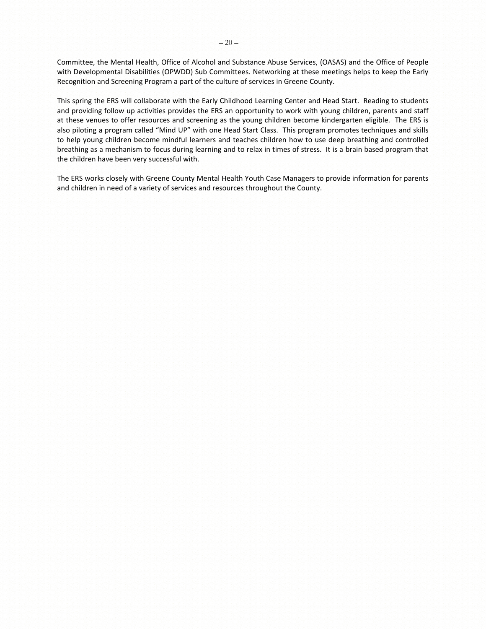Committee, the Mental Health, Office of Alcohol and Substance Abuse Services, (OASAS) and the Office of People with Developmental Disabilities (OPWDD) Sub Committees. Networking at these meetings helps to keep the Early Recognition and Screening Program a part of the culture of services in Greene County.

This spring the ERS will collaborate with the Early Childhood Learning Center and Head Start. Reading to students and providing follow up activities provides the ERS an opportunity to work with young children, parents and staff at these venues to offer resources and screening as the young children become kindergarten eligible. The ERS is also piloting a program called "Mind UP" with one Head Start Class. This program promotes techniques and skills to help young children become mindful learners and teaches children how to use deep breathing and controlled breathing as a mechanism to focus during learning and to relax in times of stress. It is a brain based program that the children have been very successful with.

The ERS works closely with Greene County Mental Health Youth Case Managers to provide information for parents and children in need of a variety of services and resources throughout the County.